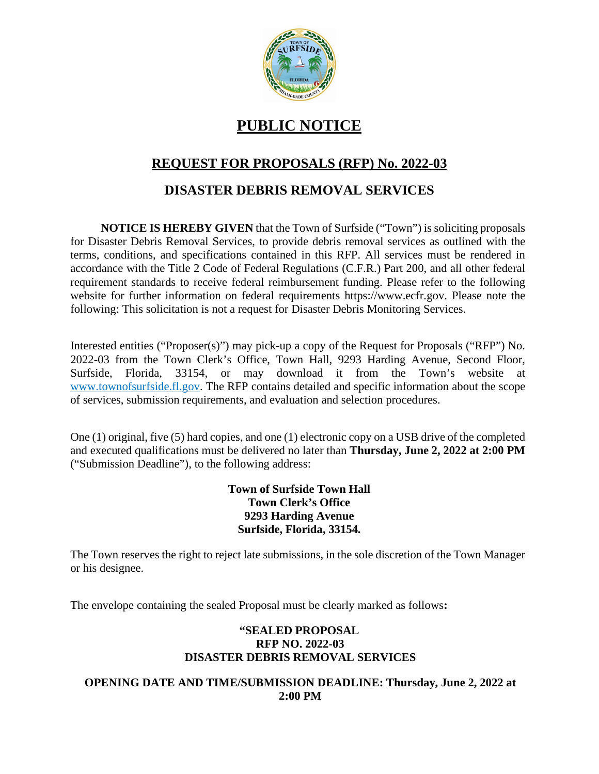

# **PUBLIC NOTICE**

# **REQUEST FOR PROPOSALS (RFP) No. 2022-03**

## **DISASTER DEBRIS REMOVAL SERVICES**

**NOTICE IS HEREBY GIVEN** that the Town of Surfside ("Town") is soliciting proposals for Disaster Debris Removal Services, to provide debris removal services as outlined with the terms, conditions, and specifications contained in this RFP. All services must be rendered in accordance with the Title 2 Code of Federal Regulations (C.F.R.) Part 200, and all other federal requirement standards to receive federal reimbursement funding. Please refer to the following website for further information on federal requirements https://www.ecfr.gov. Please note the following: This solicitation is not a request for Disaster Debris Monitoring Services.

Interested entities ("Proposer(s)") may pick-up a copy of the Request for Proposals ("RFP") No. 2022-03 from the Town Clerk's Office, Town Hall, 9293 Harding Avenue, Second Floor, Surfside, Florida, 33154, or may download it from the Town's website at www.townofsurfside.fl.gov. The RFP contains detailed and specific information about the scope of services, submission requirements, and evaluation and selection procedures.

One (1) original, five (5) hard copies, and one (1) electronic copy on a USB drive of the completed and executed qualifications must be delivered no later than **Thursday, June 2, 2022 at 2:00 PM** ("Submission Deadline"), to the following address:

### **Town of Surfside Town Hall Town Clerk's Office 9293 Harding Avenue Surfside, Florida, 33154.**

The Town reserves the right to reject late submissions, in the sole discretion of the Town Manager or his designee.

The envelope containing the sealed Proposal must be clearly marked as follows**:**

### **"SEALED PROPOSAL RFP NO. 2022-03 DISASTER DEBRIS REMOVAL SERVICES**

### **OPENING DATE AND TIME/SUBMISSION DEADLINE: Thursday, June 2, 2022 at 2:00 PM**